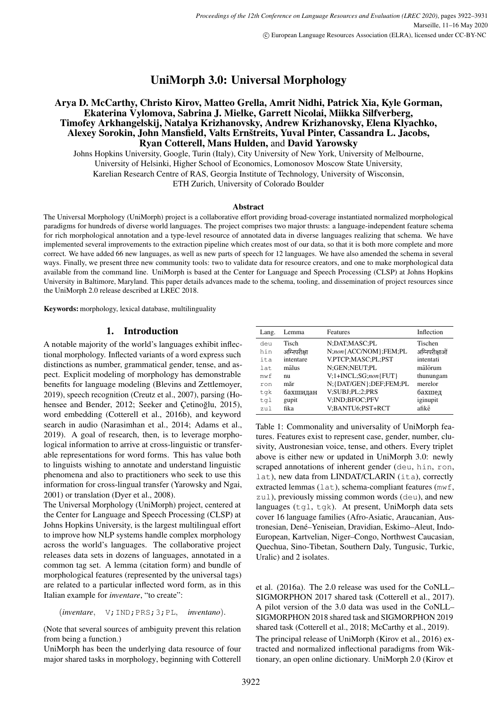UniMorph 3.0: Universal Morphology

# Arya D. McCarthy, Christo Kirov, Matteo Grella, Amrit Nidhi, Patrick Xia, Kyle Gorman, Ekaterina Vylomova, Sabrina J. Mielke, Garrett Nicolai, Miikka Silfverberg, Timofey Arkhangelskij, Natalya Krizhanovsky, Andrew Krizhanovsky, Elena Klyachko, Alexey Sorokin, John Mansfield, Valts Ernštreits, Yuval Pinter, Cassandra L. Jacobs, Ryan Cotterell, Mans Hulden, and David Yarowsky

Johns Hopkins University, Google, Turin (Italy), City University of New York, University of Melbourne, University of Helsinki, Higher School of Economics, Lomonosov Moscow State University, Karelian Research Centre of RAS, Georgia Institute of Technology, University of Wisconsin, ETH Zurich, University of Colorado Boulder

#### Abstract

The Universal Morphology (UniMorph) project is a collaborative effort providing broad-coverage instantiated normalized morphological paradigms for hundreds of diverse world languages. The project comprises two major thrusts: a language-independent feature schema for rich morphological annotation and a type-level resource of annotated data in diverse languages realizing that schema. We have implemented several improvements to the extraction pipeline which creates most of our data, so that it is both more complete and more correct. We have added 66 new languages, as well as new parts of speech for 12 languages. We have also amended the schema in several ways. Finally, we present three new community tools: two to validate data for resource creators, and one to make morphological data available from the command line. UniMorph is based at the Center for Language and Speech Processing (CLSP) at Johns Hopkins University in Baltimore, Maryland. This paper details advances made to the schema, tooling, and dissemination of project resources since the UniMorph 2.0 release described at LREC 2018.

Keywords: morphology, lexical database, multilinguality

# 1. Introduction

A notable majority of the world's languages exhibit inflectional morphology. Inflected variants of a word express such distinctions as number, grammatical gender, tense, and aspect. Explicit modeling of morphology has demonstrable benefits for language modeling [\(Blevins and Zettlemoyer,](#page-7-0) [2019\)](#page-7-0), speech recognition [\(Creutz et al., 2007\)](#page-8-0), parsing [\(Ho](#page-8-1)[hensee and Bender, 2012;](#page-8-1) Seeker and Çetinoğlu, 2015), word embedding [\(Cotterell et al., 2016b\)](#page-7-1), and keyword search in audio [\(Narasimhan et al., 2014;](#page-9-1) [Adams et al.,](#page-7-2) [2019\)](#page-7-2). A goal of research, then, is to leverage morphological information to arrive at cross-linguistic or transferable representations for word forms. This has value both to linguists wishing to annotate and understand linguistic phenomena and also to practitioners who seek to use this information for cross-lingual transfer [\(Yarowsky and Ngai,](#page-9-2) [2001\)](#page-9-2) or translation [\(Dyer et al., 2008\)](#page-8-2).

The Universal Morphology (UniMorph) project, centered at the Center for Language and Speech Processing (CLSP) at Johns Hopkins University, is the largest multilingual effort to improve how NLP systems handle complex morphology across the world's languages. The collaborative project releases data sets in dozens of languages, annotated in a common tag set. A lemma (citation form) and bundle of morphological features (represented by the universal tags) are related to a particular inflected word form, as in this Italian example for *inventare*, "to create":

(*inventare*, V;IND;PRS;3;PL, *inventano*).

(Note that several sources of ambiguity prevent this relation from being a function.)

UniMorph has been the underlying data resource of four major shared tasks in morphology, beginning with [Cotterell](#page-7-3)

| Lang.    | Lemma        | <b>Features</b>            | Inflection     |
|----------|--------------|----------------------------|----------------|
| deu      | Tisch        | N;DAT;MASC;PL              | Tischen        |
| hin      | अग्निपरीक्षा | N;non{ACC/NOM};FEM;PL      | अग्निपरीक्षाओं |
| ita      | intentare    | V.PTCP;MASC;PL;PST         | intentati      |
| l at.    | mālus        | N;GEN;NEUT;PL              | mālōrum        |
| mwf      | nu           | V;1+INCL;SG;non{FUT}       | thunungam      |
| ron      | măr          | N; {DAT/GEN}; DEF; FEM; PL | merelor        |
| tqk      | бахшидан     | V;SUBJ;PL;2;PRS            | бахшед         |
| tql      | gupit        | V;IND;BFOC;PFV             | iginupit       |
| $7.11$ ] | fika         | V;BANTU6;PST+RCT           | afikē          |

Table 1: Commonality and universality of UniMorph features. Features exist to represent case, gender, number, clusivity, Austronesian voice, tense, and others. Every triplet above is either new or updated in UniMorph 3.0: newly scraped annotations of inherent gender (deu, hin, ron, lat), new data from LINDAT/CLARIN (ita), correctly extracted lemmas (lat), schema-compliant features (mwf, zul), previously missing common words (deu), and new languages (tgl, tgk). At present, UniMorph data sets cover 16 language families (Afro-Asiatic, Araucanian, Austronesian, Dené–Yeniseian, Dravidian, Eskimo–Aleut, Indo-European, Kartvelian, Niger–Congo, Northwest Caucasian, Quechua, Sino-Tibetan, Southern Daly, Tungusic, Turkic, Uralic) and 2 isolates.

[et al. \(2016a\)](#page-7-3). The 2.0 release was used for the CoNLL– SIGMORPHON 2017 shared task [\(Cotterell et al., 2017\)](#page-7-4). A pilot version of the 3.0 data was used in the CoNLL– SIGMORPHON 2018 shared task and SIGMORPHON 2019 shared task [\(Cotterell et al., 2018;](#page-7-5) [McCarthy et al., 2019\)](#page-8-3).

The principal release of UniMorph [\(Kirov et al., 2016\)](#page-8-4) extracted and normalized inflectional paradigms from Wiktionary, an open online dictionary. UniMorph 2.0 [\(Kirov et](#page-8-5)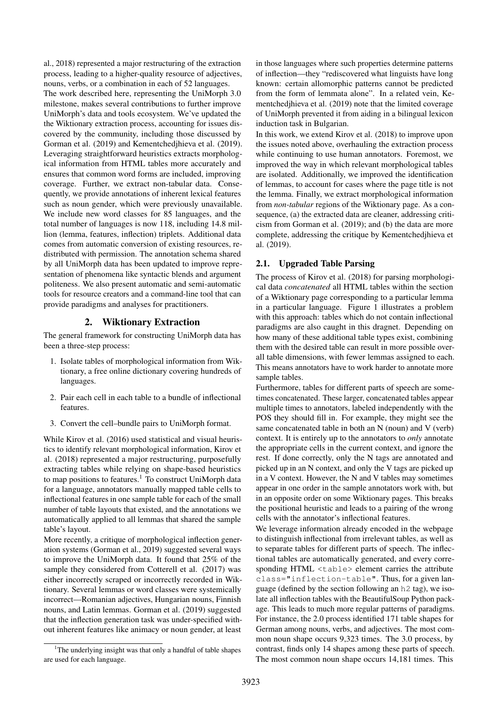[al., 2018\)](#page-8-5) represented a major restructuring of the extraction process, leading to a higher-quality resource of adjectives, nouns, verbs, or a combination in each of 52 languages.

The work described here, representing the UniMorph 3.0 milestone, makes several contributions to further improve UniMorph's data and tools ecosystem. We've updated the the Wiktionary extraction process, accounting for issues discovered by the community, including those discussed by [Gorman et al. \(2019\)](#page-8-6) and [Kementchedjhieva et al. \(2019\)](#page-8-7). Leveraging straightforward heuristics extracts morphological information from HTML tables more accurately and ensures that common word forms are included, improving coverage. Further, we extract non-tabular data. Consequently, we provide annotations of inherent lexical features such as noun gender, which were previously unavailable. We include new word classes for 85 languages, and the total number of languages is now 118, including 14.8 million (lemma, features, inflection) triplets. Additional data comes from automatic conversion of existing resources, redistributed with permission. The annotation schema shared by all UniMorph data has been updated to improve representation of phenomena like syntactic blends and argument politeness. We also present automatic and semi-automatic tools for resource creators and a command-line tool that can provide paradigms and analyses for practitioners.

#### 2. Wiktionary Extraction

<span id="page-1-1"></span>The general framework for constructing UniMorph data has been a three-step process:

- 1. Isolate tables of morphological information from Wiktionary, a free online dictionary covering hundreds of languages.
- 2. Pair each cell in each table to a bundle of inflectional features.
- 3. Convert the cell–bundle pairs to UniMorph format.

While [Kirov et al. \(2016\)](#page-8-4) used statistical and visual heuristics to identify relevant morphological information, [Kirov et](#page-8-5) [al. \(2018\)](#page-8-5) represented a major restructuring, purposefully extracting tables while relying on shape-based heuristics to map positions to features.<sup>[1](#page-1-0)</sup> To construct UniMorph data for a language, annotators manually mapped table cells to inflectional features in one sample table for each of the small number of table layouts that existed, and the annotations we automatically applied to all lemmas that shared the sample table's layout.

More recently, a critique of morphological inflection generation systems [\(Gorman et al., 2019\)](#page-8-6) suggested several ways to improve the UniMorph data. It found that 25% of the sample they considered from [Cotterell et al. \(2017\)](#page-7-4) was either incorrectly scraped or incorrectly recorded in Wiktionary. Several lemmas or word classes were systemically incorrect—Romanian adjectives, Hungarian nouns, Finnish nouns, and Latin lemmas. [Gorman et al. \(2019\)](#page-8-6) suggested that the inflection generation task was under-specified without inherent features like animacy or noun gender, at least

in those languages where such properties determine patterns of inflection—they "rediscovered what linguists have long known: certain allomorphic patterns cannot be predicted from the form of lemmata alone". In a related vein, [Ke](#page-8-7)[mentchedjhieva et al. \(2019\)](#page-8-7) note that the limited coverage of UniMorph prevented it from aiding in a bilingual lexicon induction task in Bulgarian.

In this work, we extend [Kirov et al. \(2018\)](#page-8-5) to improve upon the issues noted above, overhauling the extraction process while continuing to use human annotators. Foremost, we improved the way in which relevant morphological tables are isolated. Additionally, we improved the identification of lemmas, to account for cases where the page title is not the lemma. Finally, we extract morphological information from *non-tabular* regions of the Wiktionary page. As a consequence, (a) the extracted data are cleaner, addressing criticism from [Gorman et al. \(2019\)](#page-8-6); and (b) the data are more complete, addressing the critique by [Kementchedjhieva et](#page-8-7) [al. \(2019\)](#page-8-7).

#### 2.1. Upgraded Table Parsing

The process of [Kirov et al. \(2018\)](#page-8-5) for parsing morphological data *concatenated* all HTML tables within the section of a Wiktionary page corresponding to a particular lemma in a particular language. [Figure 1](#page-2-0) illustrates a problem with this approach: tables which do not contain inflectional paradigms are also caught in this dragnet. Depending on how many of these additional table types exist, combining them with the desired table can result in more possible overall table dimensions, with fewer lemmas assigned to each. This means annotators have to work harder to annotate more sample tables.

Furthermore, tables for different parts of speech are sometimes concatenated. These larger, concatenated tables appear multiple times to annotators, labeled independently with the POS they should fill in. For example, they might see the same concatenated table in both an N (noun) and V (verb) context. It is entirely up to the annotators to *only* annotate the appropriate cells in the current context, and ignore the rest. If done correctly, only the N tags are annotated and picked up in an N context, and only the V tags are picked up in a V context. However, the N and V tables may sometimes appear in one order in the sample annotators work with, but in an opposite order on some Wiktionary pages. This breaks the positional heuristic and leads to a pairing of the wrong cells with the annotator's inflectional features.

We leverage information already encoded in the webpage to distinguish inflectional from irrelevant tables, as well as to separate tables for different parts of speech. The inflectional tables are automatically generated, and every corresponding HTML <table> element carries the attribute class="inflection-table". Thus, for a given language (defined by the section following an h2 tag), we isolate all inflection tables with the BeautifulSoup Python package. This leads to much more regular patterns of paradigms. For instance, the 2.0 process identified 171 table shapes for German among nouns, verbs, and adjectives. The most common noun shape occurs 9,323 times. The 3.0 process, by contrast, finds only 14 shapes among these parts of speech. The most common noun shape occurs 14,181 times. This

<span id="page-1-0"></span><sup>&</sup>lt;sup>1</sup>The underlying insight was that only a handful of table shapes are used for each language.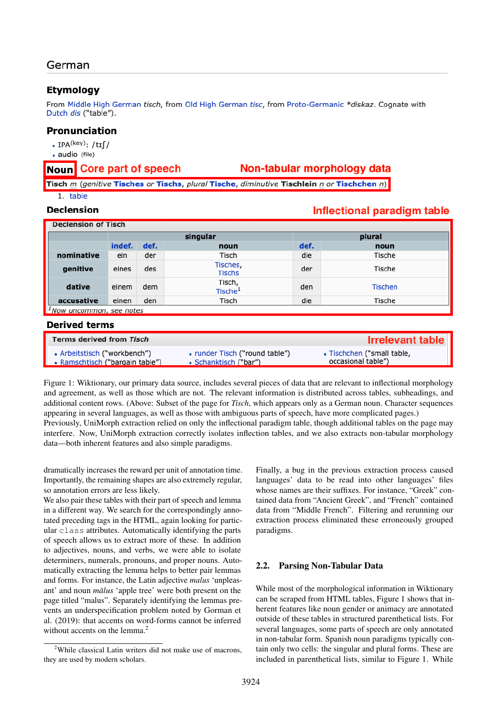# German

# **Etymology**

From Middle High German tisch, from Old High German tisc, from Proto-Germanic \*diskaz. Cognate with Dutch dis ("table").

# Pronunciation

- $\cdot$  IPA<sup>(key)</sup>: /tɪf/
- · audio (file)

#### Core part of speech Noun

# Non-tabular morphology data

Tisch m (genitive Tisches or Tischs, plural Tische, diminutive Tischlein n or Tischchen n) 1. table

#### **Declension**

# Inflectional paradigm table

| <b>Declension of Lisch</b>           |          |      |                               |      |                |
|--------------------------------------|----------|------|-------------------------------|------|----------------|
|                                      | singular |      | plural                        |      |                |
|                                      | indef.   | def. | noun                          | def. | noun           |
| nominative                           | ein      | der  | Tisch                         | die  | Tische         |
| genitive                             | eines    | des  | Tisches,<br><b>Tischs</b>     | der  | Tische         |
| dative                               | einem    | dem  | Tisch,<br>Tische <sup>1</sup> | den  | <b>Tischen</b> |
| accusative                           | einen    | den  | Tisch                         | die  | Tische         |
| <sup>1</sup> Now uncommon, see notes |          |      |                               |      |                |

#### **Derived terms**

| <b>Terms derived from Tisch</b> |                                | <b>Irrelevant table</b>    |
|---------------------------------|--------------------------------|----------------------------|
| • Arbeitstisch ("workbench")    | • runder Tisch ("round table") | • Tischchen ("small table, |
| • Ramschtisch ("bargain table") | • Schanktisch ("bar")          | occasional table")         |

<span id="page-2-0"></span>Figure 1: Wiktionary, our primary data source, includes several pieces of data that are relevant to inflectional morphology and agreement, as well as those which are not. The relevant information is distributed across tables, subheadings, and additional content rows. (Above: Subset of the page for *Tisch*, which appears only as a German noun. Character sequences appearing in several languages, as well as those with ambiguous parts of speech, have more complicated pages.) Previously, UniMorph extraction relied on only the inflectional paradigm table, though additional tables on the page may interfere. Now, UniMorph extraction correctly isolates inflection tables, and we also extracts non-tabular morphology data—both inherent features and also simple paradigms.

dramatically increases the reward per unit of annotation time. Importantly, the remaining shapes are also extremely regular, so annotation errors are less likely.

We also pair these tables with their part of speech and lemma in a different way. We search for the correspondingly annotated preceding tags in the HTML, again looking for particular class attributes. Automatically identifying the parts of speech allows us to extract more of these. In addition to adjectives, nouns, and verbs, we were able to isolate determiners, numerals, pronouns, and proper nouns. Automatically extracting the lemma helps to better pair lemmas and forms. For instance, the Latin adjective *malus* 'unpleasant' and noun *malus* 'apple tree' were both present on the page titled "malus". Separately identifying the lemmas prevents an underspecification problem noted by [Gorman et](#page-8-6) [al. \(2019\)](#page-8-6): that accents on word-forms cannot be inferred without accents on the lemma.<sup>[2](#page-2-1)</sup>

Finally, a bug in the previous extraction process caused languages' data to be read into other languages' files whose names are their suffixes. For instance, "Greek" contained data from "Ancient Greek", and "French" contained data from "Middle French". Filtering and rerunning our extraction process eliminated these erroneously grouped paradigms.

#### 2.2. Parsing Non-Tabular Data

While most of the morphological information in Wiktionary can be scraped from HTML tables, [Figure 1](#page-2-0) shows that inherent features like noun gender or animacy are annotated outside of these tables in structured parenthetical lists. For several languages, some parts of speech are only annotated in non-tabular form. Spanish noun paradigms typically contain only two cells: the singular and plural forms. These are included in parenthetical lists, similar to [Figure 1.](#page-2-0) While

<span id="page-2-1"></span><sup>2</sup>While classical Latin writers did not make use of macrons, they are used by modern scholars.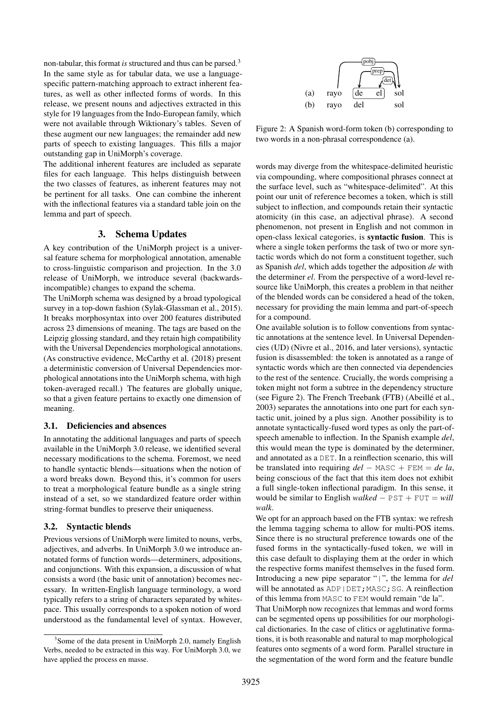non-tabular, this format *is* structured and thus can be parsed.[3](#page-3-0) In the same style as for tabular data, we use a languagespecific pattern-matching approach to extract inherent features, as well as other inflected forms of words. In this release, we present nouns and adjectives extracted in this style for 19 languages from the Indo-European family, which were not available through Wiktionary's tables. Seven of these augment our new languages; the remainder add new parts of speech to existing languages. This fills a major outstanding gap in UniMorph's coverage.

The additional inherent features are included as separate files for each language. This helps distinguish between the two classes of features, as inherent features may not be pertinent for all tasks. One can combine the inherent with the inflectional features via a standard table join on the lemma and part of speech.

## 3. Schema Updates

A key contribution of the UniMorph project is a universal feature schema for morphological annotation, amenable to cross-linguistic comparison and projection. In the 3.0 release of UniMorph, we introduce several (backwardsincompatible) changes to expand the schema.

The UniMorph schema was designed by a broad typological survey in a top-down fashion [\(Sylak-Glassman et al., 2015\)](#page-9-3). It breaks morphosyntax into over 200 features distributed across 23 dimensions of meaning. The tags are based on the Leipzig glossing standard, and they retain high compatibility with the Universal Dependencies morphological annotations. (As constructive evidence, [McCarthy et al. \(2018\)](#page-8-8) present a deterministic conversion of Universal Dependencies morphological annotations into the UniMorph schema, with high token-averaged recall.) The features are globally unique, so that a given feature pertains to exactly one dimension of meaning.

#### 3.1. Deficiencies and absences

In annotating the additional languages and parts of speech available in the UniMorph 3.0 release, we identified several necessary modifications to the schema. Foremost, we need to handle syntactic blends—situations when the notion of a word breaks down. Beyond this, it's common for users to treat a morphological feature bundle as a single string instead of a set, so we standardized feature order within string-format bundles to preserve their uniqueness.

#### 3.2. Syntactic blends

Previous versions of UniMorph were limited to nouns, verbs, adjectives, and adverbs. In UniMorph 3.0 we introduce annotated forms of function words—determiners, adpositions, and conjunctions. With this expansion, a discussion of what consists a word (the basic unit of annotation) becomes necessary. In written-English language terminology, a word typically refers to a string of characters separated by whitespace. This usually corresponds to a spoken notion of word understood as the fundamental level of syntax. However,



<span id="page-3-1"></span>Figure 2: A Spanish word-form token (b) corresponding to two words in a non-phrasal correspondence (a).

words may diverge from the whitespace-delimited heuristic via compounding, where compositional phrases connect at the surface level, such as "whitespace-delimited". At this point our unit of reference becomes a token, which is still subject to inflection, and compounds retain their syntactic atomicity (in this case, an adjectival phrase). A second phenomenon, not present in English and not common in open-class lexical categories, is syntactic fusion. This is where a single token performs the task of two or more syntactic words which do not form a constituent together, such as Spanish *del*, which adds together the adposition *de* with the determiner *el*. From the perspective of a word-level resource like UniMorph, this creates a problem in that neither of the blended words can be considered a head of the token, necessary for providing the main lemma and part-of-speech for a compound.

One available solution is to follow conventions from syntactic annotations at the sentence level. In Universal Dependencies (UD) [\(Nivre et al., 2016,](#page-9-4) and later versions), syntactic fusion is disassembled: the token is annotated as a range of syntactic words which are then connected via dependencies to the rest of the sentence. Crucially, the words comprising a token might not form a subtree in the dependency structure (see [Figure 2\)](#page-3-1). The French Treebank (FTB) [\(Abeillé et al.,](#page-7-6) [2003\)](#page-7-6) separates the annotations into one part for each syntactic unit, joined by a plus sign. Another possibility is to annotate syntactically-fused word types as only the part-ofspeech amenable to inflection. In the Spanish example *del*, this would mean the type is dominated by the determiner, and annotated as a DET. In a reinflection scenario, this will be translated into requiring *del* − MASC + FEM = *de la*, being conscious of the fact that this item does not exhibit a full single-token inflectional paradigm. In this sense, it would be similar to English *walked* − PST + FUT = *will walk*.

We opt for an approach based on the FTB syntax: we refresh the lemma tagging schema to allow for multi-POS items. Since there is no structural preference towards one of the fused forms in the syntactically-fused token, we will in this case default to displaying them at the order in which the respective forms manifest themselves in the fused form. Introducing a new pipe separator "|", the lemma for *del* will be annotated as ADP | DET; MASC; SG. A reinflection of this lemma from MASC to FEM would remain "de la".

That UniMorph now recognizes that lemmas and word forms can be segmented opens up possibilities for our morphological dictionaries. In the case of clitics or agglutinative formations, it is both reasonable and natural to map morphological features onto segments of a word form. Parallel structure in the segmentation of the word form and the feature bundle

<span id="page-3-0"></span><sup>&</sup>lt;sup>3</sup> Some of the data present in UniMorph 2.0, namely English Verbs, needed to be extracted in this way. For UniMorph 3.0, we have applied the process en masse.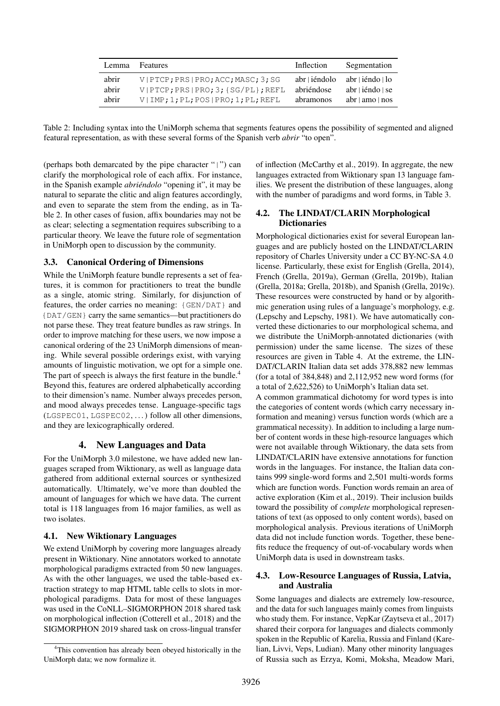| Lemma | <b>Features</b>                            | Inflection    | Segmentation                        |
|-------|--------------------------------------------|---------------|-------------------------------------|
| abrir | V   PTCP ; PRS   PRO ; ACC ; MASC ; 3 ; SG | abr   iéndolo | abr∣iéndo∣lo                        |
| abrir | V PTCP;PRS PRO;3;{SG/PL};REFL              | abriéndose    | $abr \mid i \in \text{ndo} \mid se$ |
| abrir | $V$   IMP; 1; PL; POS   PRO; 1; PL; REFL   | abramonos     | abr   amo   nos                     |

<span id="page-4-0"></span>Table 2: Including syntax into the UniMorph schema that segments features opens the possibility of segmented and aligned featural representation, as with these several forms of the Spanish verb *abrir* "to open".

(perhaps both demarcated by the pipe character "|") can clarify the morphological role of each affix. For instance, in the Spanish example *abriéndolo* "opening it", it may be natural to separate the clitic and align features accordingly, and even to separate the stem from the ending, as in [Ta](#page-4-0)[ble 2.](#page-4-0) In other cases of fusion, affix boundaries may not be as clear; selecting a segmentation requires subscribing to a particular theory. We leave the future role of segmentation in UniMorph open to discussion by the community.

## 3.3. Canonical Ordering of Dimensions

While the UniMorph feature bundle represents a set of features, it is common for practitioners to treat the bundle as a single, atomic string. Similarly, for disjunction of features, the order carries no meaning: {GEN/DAT} and {DAT/GEN} carry the same semantics—but practitioners do not parse these. They treat feature bundles as raw strings. In order to improve matching for these users, we now impose a canonical ordering of the 23 UniMorph dimensions of meaning. While several possible orderings exist, with varying amounts of linguistic motivation, we opt for a simple one. The part of speech is always the first feature in the bundle.<sup>[4](#page-4-1)</sup> Beyond this, features are ordered alphabetically according to their dimension's name. Number always precedes person, and mood always precedes tense. Language-specific tags (LGSPEC01, LGSPEC02, . . . ) follow all other dimensions, and they are lexicographically ordered.

#### 4. New Languages and Data

For the UniMorph 3.0 milestone, we have added new languages scraped from Wiktionary, as well as language data gathered from additional external sources or synthesized automatically. Ultimately, we've more than doubled the amount of languages for which we have data. The current total is 118 languages from 16 major families, as well as two isolates.

#### 4.1. New Wiktionary Languages

We extend UniMorph by covering more languages already present in Wiktionary. Nine annotators worked to annotate morphological paradigms extracted from 50 new languages. As with the other languages, we used the table-based extraction strategy to map HTML table cells to slots in morphological paradigms. Data for most of these languages was used in the CoNLL–SIGMORPHON 2018 shared task on morphological inflection [\(Cotterell et al., 2018\)](#page-7-5) and the SIGMORPHON 2019 shared task on cross-lingual transfer

of inflection [\(McCarthy et al., 2019\)](#page-8-3). In aggregate, the new languages extracted from Wiktionary span 13 language families. We present the distribution of these languages, along with the number of paradigms and word forms, in [Table 3.](#page-5-0)

#### 4.2. The LINDAT/CLARIN Morphological **Dictionaries**

Morphological dictionaries exist for several European languages and are publicly hosted on the LINDAT/CLARIN repository of Charles University under a CC BY-NC-SA 4.0 license. Particularly, these exist for English [\(Grella, 2014\)](#page-8-9), French [\(Grella, 2019a\)](#page-8-10), German [\(Grella, 2019b\)](#page-8-11), Italian [\(Grella, 2018a;](#page-8-12) [Grella, 2018b\)](#page-8-13), and Spanish [\(Grella, 2019c\)](#page-8-14). These resources were constructed by hand or by algorithmic generation using rules of a language's morphology, e.g. [\(Lepschy and Lepschy, 1981\)](#page-8-15). We have automatically converted these dictionaries to our morphological schema, and we distribute the UniMorph-annotated dictionaries (with permission) under the same license. The sizes of these resources are given in [Table 4.](#page-5-1) At the extreme, the LIN-DAT/CLARIN Italian data set adds 378,882 new lemmas (for a total of 384,848) and 2,112,952 new word forms (for a total of 2,622,526) to UniMorph's Italian data set.

A common grammatical dichotomy for word types is into the categories of content words (which carry necessary information and meaning) versus function words (which are a grammatical necessity). In addition to including a large number of content words in these high-resource languages which were not available through Wiktionary, the data sets from LINDAT/CLARIN have extensive annotations for function words in the languages. For instance, the Italian data contains 999 single-word forms and 2,501 multi-words forms which are function words. Function words remain an area of active exploration [\(Kim et al., 2019\)](#page-8-16). Their inclusion builds toward the possibility of *complete* morphological representations of text (as opposed to only content words), based on morphological analysis. Previous iterations of UniMorph data did not include function words. Together, these benefits reduce the frequency of out-of-vocabulary words when UniMorph data is used in downstream tasks.

#### 4.3. Low-Resource Languages of Russia, Latvia, and Australia

Some languages and dialects are extremely low-resource, and the data for such languages mainly comes from linguists who study them. For instance, VepKar [\(Zaytseva et al., 2017\)](#page-9-5) shared their corpora for languages and dialects commonly spoken in the Republic of Karelia, Russia and Finland (Karelian, Livvi, Veps, Ludian). Many other minority languages of Russia such as Erzya, Komi, Moksha, Meadow Mari,

<span id="page-4-1"></span><sup>&</sup>lt;sup>4</sup>This convention has already been obeyed historically in the UniMorph data; we now formalize it.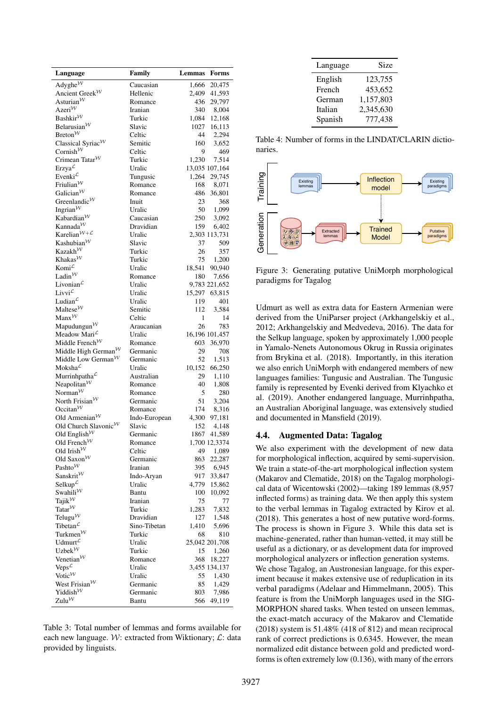| Language                                                       | Family             | Lemmas   | Forms                    |
|----------------------------------------------------------------|--------------------|----------|--------------------------|
| Adyghe $\mathcal{W}$                                           | Caucasian          | 1,666    | 20,475                   |
| Ancient Greek <sup>W</sup>                                     | Hellenic           | 2,409    | 41,593                   |
| Asturian $\mathcal W$                                          | Romance            | 436      | 29,797                   |
| Azeri $\mathcal W$                                             | Iranian            | 340      | 8,004                    |
| Bashkir $W$                                                    | Turkic             | 1,084    | 12,168                   |
| Belarusian $\mathcal W$                                        | Slavic             | 1027     | 16,113                   |
| Breton $\mathcal W$                                            | Celtic             | 44       | 2,294                    |
| Classical Syriac <sup>W</sup>                                  | Semitic            | 160      | 3,652                    |
| Cornish $\mathcal W$<br>Crimean Tatar <sup>W</sup>             | Celtic             | 9        | 469                      |
|                                                                | Turkic             | 1,230    | 7,514                    |
| Erzya $\mathcal L$<br>Evenki $\mathcal{L}$                     | Uralic<br>Tungusic | 1,264    | 13,035 107,164<br>29,745 |
| Friulian $\mathcal W$                                          | Romance            | 168      | 8,071                    |
| Galician $\mathcal W$                                          | Romance            | 486      | 36,801                   |
| Greenlandic $\mathcal W$                                       | Inuit              | 23       | 368                      |
| Ingrian $\mathcal{W}$                                          | Uralic             | 50       | 1,099                    |
| Kabardian $W$                                                  | Caucasian          | 250      | 3,092                    |
| Kannada $\mathcal{W}$                                          | Dravidian          | 159      | 6,402                    |
| Karelian $W+L$                                                 | Uralic             |          | 2,303 113,731            |
| Kashubian $\mathcal W$                                         | Slavic             | 37       | 509                      |
| Kazakh <sup>W</sup>                                            | Turkic             | 26       | 357                      |
| Khakas <sup>W</sup>                                            | Turkic             | 75       | 1,200                    |
| Komi $\mathcal{L}$                                             | Uralic             | 18,541   | 90,940                   |
| Ladin $\mathcal{W}$                                            | Romance            | 180      | 7,656                    |
| Livonian $\mathcal{L}$                                         | Uralic             |          | 9,783 221,652            |
| Livvi <sup><math>\mathcal{L}</math></sup>                      | Uralic             | 15,297   | 63,815                   |
| Ludian $\mathcal{L}$<br>Maltese $\mathcal W$                   | Uralic             | 119      | 401                      |
| $\text{Manx}^{\mathcal{W}}$                                    | Semitic<br>Celtic  | 112<br>1 | 3,584<br>14              |
| Mapudungun $W$                                                 | Araucanian         | 26       | 783                      |
| Meadow Mari $\mathcal{L}$                                      | Uralic             |          | 16,196 101,457           |
| Middle French <sup><math>W</math></sup>                        | Romance            | 603      | 36,970                   |
| Middle High German <sup><math>W</math></sup>                   | Germanic           | 29       | 708                      |
| Middle Low German <sup><math>W</math></sup>                    | Germanic           | 52       | 1,513                    |
| Moksha <sup>L</sup>                                            | Uralic             | 10,152   | 66,250                   |
| Murrinhpatha $\mathcal{L}$                                     | Australian         | 29       | 1,110                    |
| Neapolitan $W$                                                 | Romance            | 40       | 1,808                    |
| Norman $\mathcal W$                                            | Romance            | 5        | 280                      |
| North Frisian <sup>W</sup>                                     | Germanic           | 51       | 3,204                    |
| Occitan $\mathcal W$                                           | Romance            | 174      | 8,316                    |
| Old Armenian $\mathcal W$                                      | Indo-European      | 4,300    | 97,181                   |
| Old Church Slavonic $\mathcal W$                               | Slavic             | 152      | 4,148                    |
| Old English $\mathcal{W}$                                      | Germanic           | 1867     | 41,589                   |
| Old French <sup><math>W</math></sup><br>Old Irish $\mathcal W$ | Romance<br>Celtic  | 49       | 1,700 12,3374<br>1,089   |
| Old Saxon $\mathcal W$                                         | Germanic           | 863      | 22,287                   |
| Pashto <sup>W</sup>                                            | Iranian            | 395      | 6,945                    |
| Sanskrit $W$                                                   | Indo-Aryan         | 917      | 33,847                   |
| Selkup $\mathcal{L}$                                           | Uralic             | 4,779    | 15,862                   |
| Swahili $\mathcal{W}$                                          | Bantu              | 100      | 10,092                   |
| Tajik $\mathcal{W}$                                            | Iranian            | 75       | 77                       |
| Tatar $\mathcal W$                                             | Turkic             | 1,283    | 7,832                    |
| Telugu $\mathcal W$                                            | Dravidian          | 127      | 1,548                    |
| Tibetan $\mathcal{L}$                                          | Sino-Tibetan       | 1,410    | 5,696                    |
| Turkmen $\mathcal W$                                           | Turkic             | 68       | 810                      |
| Udmurt $L$                                                     | Uralic             |          | 25,042 201,708           |
| Uzbek $\mathcal W$                                             | Turkic             | 15       | 1,260                    |
| Venetian $\mathcal W$                                          | Romance            | 368      | 18,227                   |
| Veps $\mathcal L$                                              | Uralic             |          | 3,455 134,137            |
| Votic $\mathcal{W}$                                            | Uralic             | 55       | 1,430                    |
| West Frisian $\mathcal W$<br>Yiddish $\mathcal W$              | Germanic           | 85       | 1,429                    |
| Zulu $\mathcal W$                                              | Germanic           | 803      | 7,986                    |
|                                                                | Bantu              | 566      | 49,119                   |

<span id="page-5-0"></span>Table 3: Total number of lemmas and forms available for each new language. W: extracted from Wiktionary;  $\mathcal{L}$ : data provided by linguists.

| Language | Size      |
|----------|-----------|
| English  | 123,755   |
| French   | 453,652   |
| German   | 1,157,803 |
| Italian  | 2,345,630 |
| Spanish  | 777,438   |

<span id="page-5-1"></span>Table 4: Number of forms in the LINDAT/CLARIN dictionaries.



<span id="page-5-2"></span>Figure 3: Generating putative UniMorph morphological paradigms for Tagalog

Udmurt as well as extra data for Eastern Armenian were derived from the UniParser project [\(Arkhangelskiy et al.,](#page-7-7) [2012;](#page-7-7) [Arkhangelskiy and Medvedeva, 2016\)](#page-7-8). The data for the Selkup language, spoken by approximately 1,000 people in Yamalo-Nenets Autonomous Okrug in Russia originates from [Brykina et al. \(2018\)](#page-7-9). Importantly, in this iteration we also enrich UniMorph with endangered members of new languages families: Tungusic and Australian. The Tungusic family is represented by Evenki derived from [Klyachko et](#page-8-17) [al. \(2019\)](#page-8-17). Another endangered language, Murrinhpatha, an Australian Aboriginal language, was extensively studied and documented in [Mansfield \(2019\)](#page-8-18).

#### 4.4. Augmented Data: Tagalog

We also experiment with the development of new data for morphological inflection, acquired by semi-supervision. We train a state-of-the-art morphological inflection system [\(Makarov and Clematide, 2018\)](#page-8-19) on the Tagalog morphological data of [Wicentowski \(2002\)](#page-9-6)—taking 189 lemmas (8,957 inflected forms) as training data. We then apply this system to the verbal lemmas in Tagalog extracted by [Kirov et al.](#page-8-5) [\(2018\)](#page-8-5). This generates a host of new putative word-forms. The process is shown in [Figure 3.](#page-5-2) While this data set is machine-generated, rather than human-vetted, it may still be useful as a dictionary, or as development data for improved morphological analyzers or inflection generation systems. We chose Tagalog, an Austronesian language, for this experiment because it makes extensive use of reduplication in its verbal paradigms [\(Adelaar and Himmelmann, 2005\)](#page-7-10). This feature is from the UniMorph languages used in the SIG-MORPHON shared tasks. When tested on unseen lemmas, the exact-match accuracy of the [Makarov and Clematide](#page-8-19) [\(2018\)](#page-8-19) system is 51.48% (418 of 812) and mean reciprocal rank of correct predictions is 0.6345. However, the mean normalized edit distance between gold and predicted wordforms is often extremely low (0.136), with many of the errors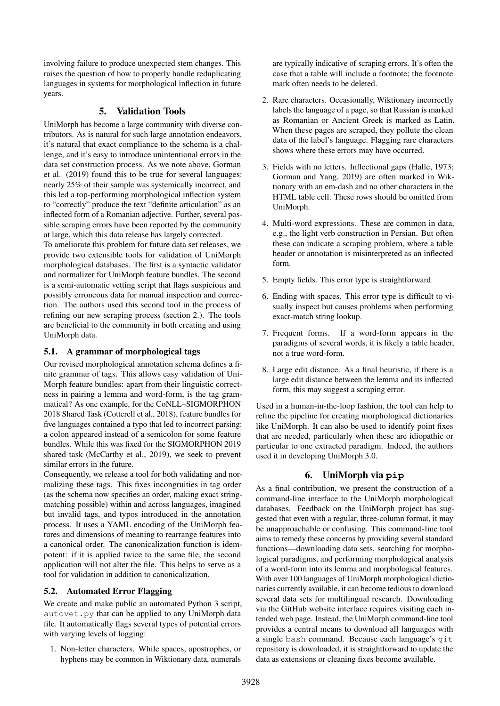involving failure to produce unexpected stem changes. This raises the question of how to properly handle reduplicating languages in systems for morphological inflection in future years.

## 5. Validation Tools

UniMorph has become a large community with diverse contributors. As is natural for such large annotation endeavors, it's natural that exact compliance to the schema is a challenge, and it's easy to introduce unintentional errors in the data set construction process. As we note above, [Gorman](#page-8-6) [et al. \(2019\)](#page-8-6) found this to be true for several languages: nearly 25% of their sample was systemically incorrect, and this led a top-performing morphological inflection system to "correctly" produce the text "definite articulation" as an inflected form of a Romanian adjective. Further, several possible scraping errors have been reported by the community at large, which this data release has largely corrected.

To ameliorate this problem for future data set releases, we provide two extensible tools for validation of UniMorph morphological databases. The first is a syntactic validator and normalizer for UniMorph feature bundles. The second is a semi-automatic vetting script that flags suspicious and possibly erroneous data for manual inspection and correction. The authors used this second tool in the process of refining our new scraping process [\(section 2.\)](#page-1-1). The tools are beneficial to the community in both creating and using UniMorph data.

#### 5.1. A grammar of morphological tags

Our revised morphological annotation schema defines a finite grammar of tags. This allows easy validation of Uni-Morph feature bundles: apart from their linguistic correctness in pairing a lemma and word-form, is the tag grammatical? As one example, for the CoNLL–SIGMORPHON 2018 Shared Task [\(Cotterell et al., 2018\)](#page-7-5), feature bundles for five languages contained a typo that led to incorrect parsing: a colon appeared instead of a semicolon for some feature bundles. While this was fixed for the SIGMORPHON 2019 shared task [\(McCarthy et al., 2019\)](#page-8-3), we seek to prevent similar errors in the future.

Consequently, we release a tool for both validating and normalizing these tags. This fixes incongruities in tag order (as the schema now specifies an order, making exact stringmatching possible) within and across languages, imagined but invalid tags, and typos introduced in the annotation process. It uses a YAML encoding of the UniMorph features and dimensions of meaning to rearrange features into a canonical order. The canonicalization function is idempotent: if it is applied twice to the same file, the second application will not alter the file. This helps to serve as a tool for validation in addition to canonicalization.

### 5.2. Automated Error Flagging

We create and make public an automated Python 3 script, autovet.py that can be applied to any UniMorph data file. It automatically flags several types of potential errors with varying levels of logging:

1. Non-letter characters. While spaces, apostrophes, or hyphens may be common in Wiktionary data, numerals

are typically indicative of scraping errors. It's often the case that a table will include a footnote; the footnote mark often needs to be deleted.

- 2. Rare characters. Occasionally, Wiktionary incorrectly labels the language of a page, so that Russian is marked as Romanian or Ancient Greek is marked as Latin. When these pages are scraped, they pollute the clean data of the label's language. Flagging rare characters shows where these errors may have occurred.
- 3. Fields with no letters. Inflectional gaps [\(Halle, 1973;](#page-8-20) [Gorman and Yang, 2019\)](#page-8-21) are often marked in Wiktionary with an em-dash and no other characters in the HTML table cell. These rows should be omitted from UniMorph.
- 4. Multi-word expressions. These are common in data, e.g., the light verb construction in Persian. But often these can indicate a scraping problem, where a table header or annotation is misinterpreted as an inflected form.
- 5. Empty fields. This error type is straightforward.
- 6. Ending with spaces. This error type is difficult to visually inspect but causes problems when performing exact-match string lookup.
- 7. Frequent forms. If a word-form appears in the paradigms of several words, it is likely a table header, not a true word-form.
- 8. Large edit distance. As a final heuristic, if there is a large edit distance between the lemma and its inflected form, this may suggest a scraping error.

Used in a human-in-the-loop fashion, the tool can help to refine the pipeline for creating morphological dictionaries like UniMorph. It can also be used to identify point fixes that are needed, particularly when these are idiopathic or particular to one extracted paradigm. Indeed, the authors used it in developing UniMorph 3.0.

# 6. UniMorph via **pip**

As a final contribution, we present the construction of a command-line interface to the UniMorph morphological databases. Feedback on the UniMorph project has suggested that even with a regular, three-column format, it may be unapproachable or confusing. This command-line tool aims to remedy these concerns by providing several standard functions—downloading data sets, searching for morphological paradigms, and performing morphological analysis of a word-form into its lemma and morphological features. With over 100 languages of UniMorph morphological dictionaries currently available, it can become tedious to download several data sets for multilingual research. Downloading via the GitHub website interface requires visiting each intended web page. Instead, the UniMorph command-line tool provides a central means to download all languages with a single bash command. Because each language's git repository is downloaded, it is straightforward to update the data as extensions or cleaning fixes become available.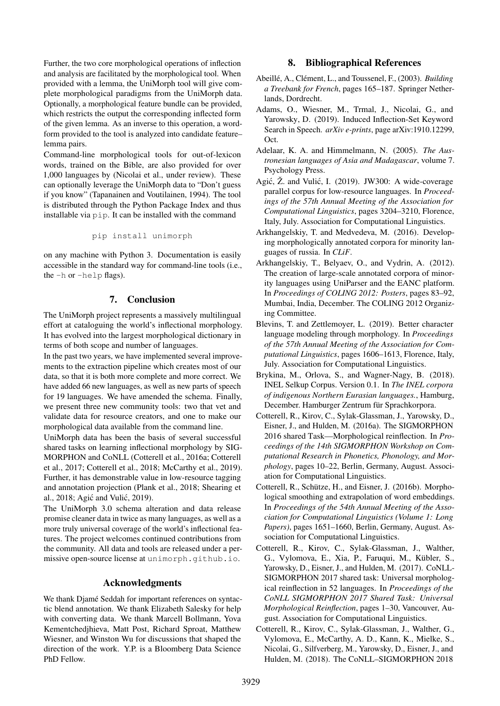Further, the two core morphological operations of inflection and analysis are facilitated by the morphological tool. When provided with a lemma, the UniMorph tool will give complete morphological paradigms from the UniMorph data. Optionally, a morphological feature bundle can be provided, which restricts the output the corresponding inflected form of the given lemma. As an inverse to this operation, a wordform provided to the tool is analyzed into candidate feature– lemma pairs.

Command-line morphological tools for out-of-lexicon words, trained on the Bible, are also provided for over 1,000 languages by [\(Nicolai et al., under review\)](#page-9-7). These can optionally leverage the UniMorph data to "Don't guess if you know" [\(Tapanainen and Voutilainen, 1994\)](#page-9-8). The tool is distributed through the Python Package Index and thus installable via pip. It can be installed with the command

pip install unimorph

on any machine with Python 3. Documentation is easily accessible in the standard way for command-line tools (i.e., the -h or -help flags).

### 7. Conclusion

The UniMorph project represents a massively multilingual effort at cataloguing the world's inflectional morphology. It has evolved into the largest morphological dictionary in terms of both scope and number of languages.

In the past two years, we have implemented several improvements to the extraction pipeline which creates most of our data, so that it is both more complete and more correct. We have added 66 new languages, as well as new parts of speech for 19 languages. We have amended the schema. Finally, we present three new community tools: two that vet and validate data for resource creators, and one to make our morphological data available from the command line.

UniMorph data has been the basis of several successful shared tasks on learning inflectional morphology by SIG-MORPHON and CoNLL [\(Cotterell et al., 2016a;](#page-7-3) [Cotterell](#page-7-4) [et al., 2017;](#page-7-4) [Cotterell et al., 2018;](#page-7-5) [McCarthy et al., 2019\)](#page-8-3). Further, it has demonstrable value in low-resource tagging and annotation projection [\(Plank et al., 2018;](#page-9-9) [Shearing et](#page-9-10) [al., 2018;](#page-9-10) Agić and Vulić, 2019).

The UniMorph 3.0 schema alteration and data release promise cleaner data in twice as many languages, as well as a more truly universal coverage of the world's inflectional features. The project welcomes continued contributions from the community. All data and tools are released under a permissive open-source license at <unimorph.github.io>.

#### Acknowledgments

We thank Djamé Seddah for important references on syntactic blend annotation. We thank Elizabeth Salesky for help with converting data. We thank Marcell Bollmann, Yova Kementchedjhieva, Matt Post, Richard Sproat, Matthew Wiesner, and Winston Wu for discussions that shaped the direction of the work. Y.P. is a Bloomberg Data Science PhD Fellow.

# 8. Bibliographical References

- <span id="page-7-6"></span>Abeillé, A., Clément, L., and Toussenel, F., (2003). *Building a Treebank for French*, pages 165–187. Springer Netherlands, Dordrecht.
- <span id="page-7-2"></span>Adams, O., Wiesner, M., Trmal, J., Nicolai, G., and Yarowsky, D. (2019). Induced Inflection-Set Keyword Search in Speech. *arXiv e-prints*, page arXiv:1910.12299, Oct.
- <span id="page-7-10"></span>Adelaar, K. A. and Himmelmann, N. (2005). *The Austronesian languages of Asia and Madagascar*, volume 7. Psychology Press.
- <span id="page-7-11"></span>Agić,  $\ddot{Z}$ . and Vulić, I. (2019). JW300: A wide-coverage parallel corpus for low-resource languages. In *Proceedings of the 57th Annual Meeting of the Association for Computational Linguistics*, pages 3204–3210, Florence, Italy, July. Association for Computational Linguistics.
- <span id="page-7-8"></span>Arkhangelskiy, T. and Medvedeva, M. (2016). Developing morphologically annotated corpora for minority languages of russia. In *CLiF*.
- <span id="page-7-7"></span>Arkhangelskiy, T., Belyaev, O., and Vydrin, A. (2012). The creation of large-scale annotated corpora of minority languages using UniParser and the EANC platform. In *Proceedings of COLING 2012: Posters*, pages 83–92, Mumbai, India, December. The COLING 2012 Organizing Committee.
- <span id="page-7-0"></span>Blevins, T. and Zettlemoyer, L. (2019). Better character language modeling through morphology. In *Proceedings of the 57th Annual Meeting of the Association for Computational Linguistics*, pages 1606–1613, Florence, Italy, July. Association for Computational Linguistics.
- <span id="page-7-9"></span>Brykina, M., Orlova, S., and Wagner-Nagy, B. (2018). INEL Selkup Corpus. Version 0.1. In *The INEL corpora of indigenous Northern Eurasian languages.*, Hamburg, December. Hamburger Zentrum für Sprachkorpora.
- <span id="page-7-3"></span>Cotterell, R., Kirov, C., Sylak-Glassman, J., Yarowsky, D., Eisner, J., and Hulden, M. (2016a). The SIGMORPHON 2016 shared Task—Morphological reinflection. In *Proceedings of the 14th SIGMORPHON Workshop on Computational Research in Phonetics, Phonology, and Morphology*, pages 10–22, Berlin, Germany, August. Association for Computational Linguistics.
- <span id="page-7-1"></span>Cotterell, R., Schütze, H., and Eisner, J. (2016b). Morphological smoothing and extrapolation of word embeddings. In *Proceedings of the 54th Annual Meeting of the Association for Computational Linguistics (Volume 1: Long Papers)*, pages 1651–1660, Berlin, Germany, August. Association for Computational Linguistics.
- <span id="page-7-4"></span>Cotterell, R., Kirov, C., Sylak-Glassman, J., Walther, G., Vylomova, E., Xia, P., Faruqui, M., Kübler, S., Yarowsky, D., Eisner, J., and Hulden, M. (2017). CoNLL-SIGMORPHON 2017 shared task: Universal morphological reinflection in 52 languages. In *Proceedings of the CoNLL SIGMORPHON 2017 Shared Task: Universal Morphological Reinflection*, pages 1–30, Vancouver, August. Association for Computational Linguistics.
- <span id="page-7-5"></span>Cotterell, R., Kirov, C., Sylak-Glassman, J., Walther, G., Vylomova, E., McCarthy, A. D., Kann, K., Mielke, S., Nicolai, G., Silfverberg, M., Yarowsky, D., Eisner, J., and Hulden, M. (2018). The CoNLL–SIGMORPHON 2018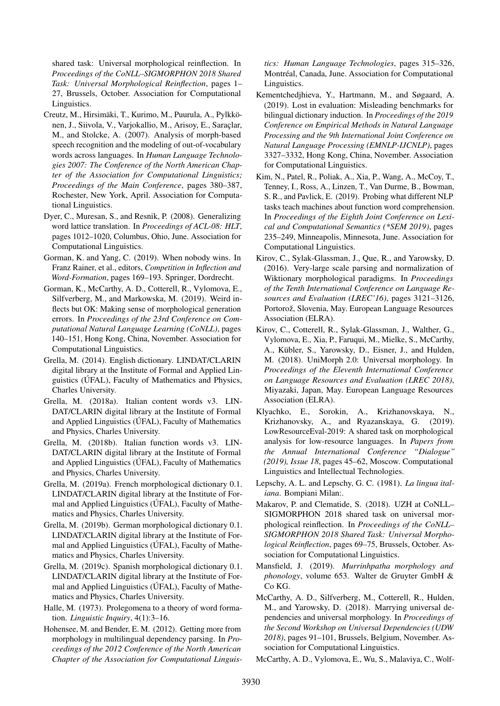shared task: Universal morphological reinflection. In *Proceedings of the CoNLL–SIGMORPHON 2018 Shared Task: Universal Morphological Reinflection*, pages 1– 27, Brussels, October. Association for Computational Linguistics.

- <span id="page-8-0"></span>Creutz, M., Hirsimäki, T., Kurimo, M., Puurula, A., Pylkkönen, J., Siivola, V., Varjokallio, M., Arisoy, E., Saraçlar, M., and Stolcke, A. (2007). Analysis of morph-based speech recognition and the modeling of out-of-vocabulary words across languages. In *Human Language Technologies 2007: The Conference of the North American Chapter of the Association for Computational Linguistics; Proceedings of the Main Conference*, pages 380–387, Rochester, New York, April. Association for Computational Linguistics.
- <span id="page-8-2"></span>Dyer, C., Muresan, S., and Resnik, P. (2008). Generalizing word lattice translation. In *Proceedings of ACL-08: HLT*, pages 1012–1020, Columbus, Ohio, June. Association for Computational Linguistics.
- <span id="page-8-21"></span>Gorman, K. and Yang, C. (2019). When nobody wins. In Franz Rainer, et al., editors, *Competition in Inflection and Word-Formation*, pages 169–193. Springer, Dordrecht.
- <span id="page-8-6"></span>Gorman, K., McCarthy, A. D., Cotterell, R., Vylomova, E., Silfverberg, M., and Markowska, M. (2019). Weird inflects but OK: Making sense of morphological generation errors. In *Proceedings of the 23rd Conference on Computational Natural Language Learning (CoNLL)*, pages 140–151, Hong Kong, China, November. Association for Computational Linguistics.
- <span id="page-8-9"></span>Grella, M. (2014). English dictionary. LINDAT/CLARIN digital library at the Institute of Formal and Applied Linguistics (ÚFAL), Faculty of Mathematics and Physics, Charles University.
- <span id="page-8-12"></span>Grella, M. (2018a). Italian content words v3. LIN-DAT/CLARIN digital library at the Institute of Formal and Applied Linguistics (ÚFAL), Faculty of Mathematics and Physics, Charles University.
- <span id="page-8-13"></span>Grella, M. (2018b). Italian function words v3. LIN-DAT/CLARIN digital library at the Institute of Formal and Applied Linguistics (ÚFAL), Faculty of Mathematics and Physics, Charles University.
- <span id="page-8-10"></span>Grella, M. (2019a). French morphological dictionary 0.1. LINDAT/CLARIN digital library at the Institute of Formal and Applied Linguistics (ÚFAL), Faculty of Mathematics and Physics, Charles University.
- <span id="page-8-11"></span>Grella, M. (2019b). German morphological dictionary 0.1. LINDAT/CLARIN digital library at the Institute of Formal and Applied Linguistics (ÚFAL), Faculty of Mathematics and Physics, Charles University.
- <span id="page-8-14"></span>Grella, M. (2019c). Spanish morphological dictionary 0.1. LINDAT/CLARIN digital library at the Institute of Formal and Applied Linguistics (ÚFAL), Faculty of Mathematics and Physics, Charles University.
- <span id="page-8-20"></span>Halle, M. (1973). Prolegomena to a theory of word formation. *Linguistic Inquiry*, 4(1):3–16.
- <span id="page-8-1"></span>Hohensee, M. and Bender, E. M. (2012). Getting more from morphology in multilingual dependency parsing. In *Proceedings of the 2012 Conference of the North American Chapter of the Association for Computational Linguis-*

*tics: Human Language Technologies*, pages 315–326, Montréal, Canada, June. Association for Computational Linguistics.

- <span id="page-8-7"></span>Kementchedjhieva, Y., Hartmann, M., and Søgaard, A. (2019). Lost in evaluation: Misleading benchmarks for bilingual dictionary induction. In *Proceedings of the 2019 Conference on Empirical Methods in Natural Language Processing and the 9th International Joint Conference on Natural Language Processing (EMNLP-IJCNLP)*, pages 3327–3332, Hong Kong, China, November. Association for Computational Linguistics.
- <span id="page-8-16"></span>Kim, N., Patel, R., Poliak, A., Xia, P., Wang, A., McCoy, T., Tenney, I., Ross, A., Linzen, T., Van Durme, B., Bowman, S. R., and Pavlick, E. (2019). Probing what different NLP tasks teach machines about function word comprehension. In *Proceedings of the Eighth Joint Conference on Lexical and Computational Semantics (\*SEM 2019)*, pages 235–249, Minneapolis, Minnesota, June. Association for Computational Linguistics.
- <span id="page-8-4"></span>Kirov, C., Sylak-Glassman, J., Que, R., and Yarowsky, D. (2016). Very-large scale parsing and normalization of Wiktionary morphological paradigms. In *Proceedings of the Tenth International Conference on Language Resources and Evaluation (LREC'16)*, pages 3121–3126, Portorož, Slovenia, May. European Language Resources Association (ELRA).
- <span id="page-8-5"></span>Kirov, C., Cotterell, R., Sylak-Glassman, J., Walther, G., Vylomova, E., Xia, P., Faruqui, M., Mielke, S., McCarthy, A., Kübler, S., Yarowsky, D., Eisner, J., and Hulden, M. (2018). UniMorph 2.0: Universal morphology. In *Proceedings of the Eleventh International Conference on Language Resources and Evaluation (LREC 2018)*, Miyazaki, Japan, May. European Language Resources Association (ELRA).
- <span id="page-8-17"></span>Klyachko, E., Sorokin, A., Krizhanovskaya, N., Krizhanovsky, A., and Ryazanskaya, G. (2019). LowResourceEval-2019: A shared task on morphological analysis for low-resource languages. In *Papers from the Annual International Conference "Dialogue" (2019), Issue 18*, pages 45–62, Moscow. Computational Linguistics and Intellectual Technologies.
- <span id="page-8-15"></span>Lepschy, A. L. and Lepschy, G. C. (1981). *La lingua italiana*. Bompiani Milan:.
- <span id="page-8-19"></span>Makarov, P. and Clematide, S. (2018). UZH at CoNLL– SIGMORPHON 2018 shared task on universal morphological reinflection. In *Proceedings of the CoNLL– SIGMORPHON 2018 Shared Task: Universal Morphological Reinflection*, pages 69–75, Brussels, October. Association for Computational Linguistics.
- <span id="page-8-18"></span>Mansfield, J. (2019). *Murrinhpatha morphology and phonology*, volume 653. Walter de Gruyter GmbH & Co KG.
- <span id="page-8-8"></span>McCarthy, A. D., Silfverberg, M., Cotterell, R., Hulden, M., and Yarowsky, D. (2018). Marrying universal dependencies and universal morphology. In *Proceedings of the Second Workshop on Universal Dependencies (UDW 2018)*, pages 91–101, Brussels, Belgium, November. Association for Computational Linguistics.
- <span id="page-8-3"></span>McCarthy, A. D., Vylomova, E., Wu, S., Malaviya, C., Wolf-